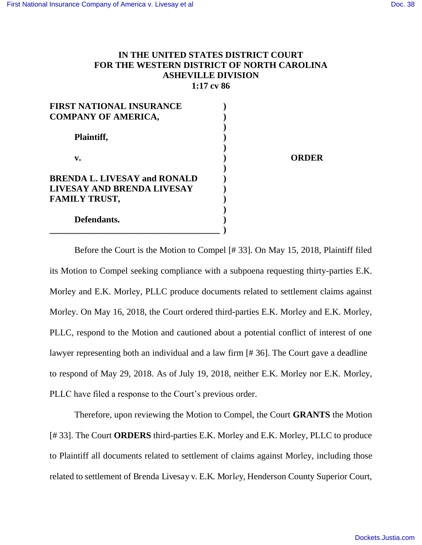## **IN THE UNITED STATES DISTRICT COURT FOR THE WESTERN DISTRICT OF NORTH CAROLINA ASHEVILLE DIVISION 1:17 cv 86**

| <b>FIRST NATIONAL INSURANCE</b>     |  |
|-------------------------------------|--|
| <b>COMPANY OF AMERICA,</b>          |  |
| Plaintiff,                          |  |
| v.                                  |  |
| <b>BRENDA L. LIVESAY and RONALD</b> |  |
| LIVESAY AND BRENDA LIVESAY          |  |
| <b>FAMILY TRUST,</b>                |  |
| Defendants.                         |  |
|                                     |  |

**v. ) ORDER** 

Before the Court is the Motion to Compel [# 33]. On May 15, 2018, Plaintiff filed its Motion to Compel seeking compliance with a subpoena requesting thirty-parties E.K. Morley and E.K. Morley, PLLC produce documents related to settlement claims against Morley. On May 16, 2018, the Court ordered third-parties E.K. Morley and E.K. Morley, PLLC, respond to the Motion and cautioned about a potential conflict of interest of one lawyer representing both an individual and a law firm [# 36]. The Court gave a deadline to respond of May 29, 2018. As of July 19, 2018, neither E.K. Morley nor E.K. Morley, PLLC have filed a response to the Court's previous order.

Therefore, upon reviewing the Motion to Compel, the Court **GRANTS** the Motion [# 33]. The Court **ORDERS** third-parties E.K. Morley and E.K. Morley, PLLC to produce to Plaintiff all documents related to settlement of claims against Morley, including those related to settlement of Brenda Livesay v. E.K. Morl*e*y, Henderson County Superior Court,